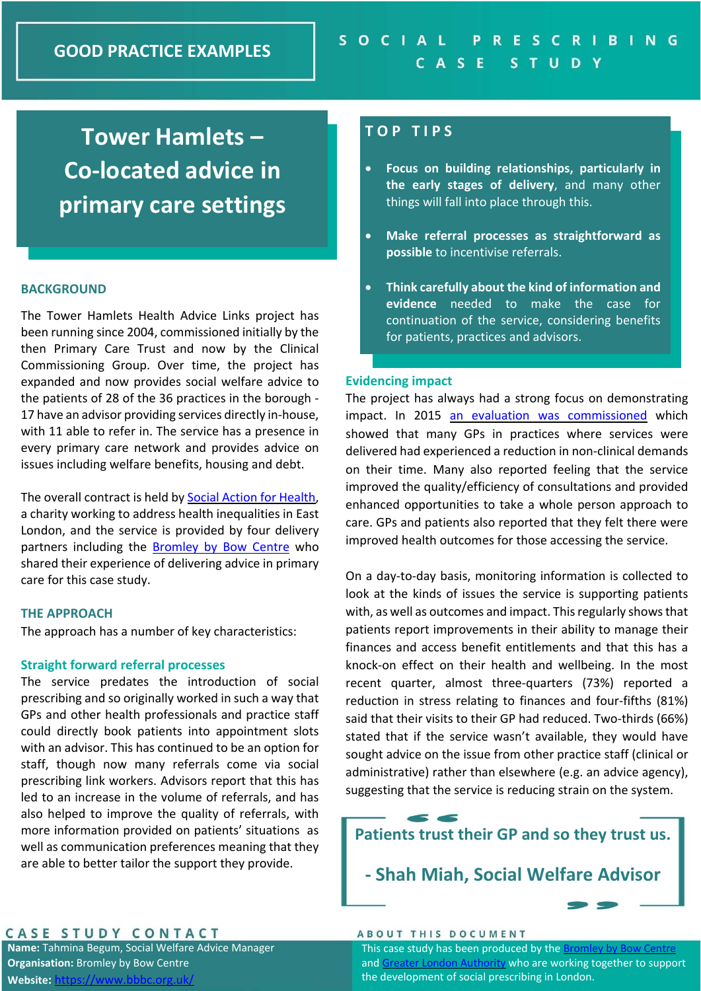# **Tower Hamlets – Co‐located advice in primary care settings**

## **BACKGROUND**

The Tower Hamlets Health Advice Links project has been running since 2004, commissioned initially by the then Primary Care Trust and now by the Clinical Commissioning Group. Over time, the project has expanded and now provides social welfare advice to the patients of 28 of the 36 practices in the borough ‐ 17 have an advisor providing services directly in‐house, with 11 able to refer in. The service has a presence in every primary care network and provides advice on issues including welfare benefits, housing and debt.

The overall contract is held by Social Action for Health, a charity working to address health inequalities in East London, and the service is provided by four delivery partners including the **Bromley by Bow Centre** who shared their experience of delivering advice in primary care for this case study.

## **THE APPROACH**

The approach has a number of key characteristics:

## **Straight forward referral processes**

The service predates the introduction of social prescribing and so originally worked in such a way that GPs and other health professionals and practice staff could directly book patients into appointment slots with an advisor. This has continued to be an option for staff, though now many referrals come via social prescribing link workers. Advisors report that this has led to an increase in the volume of referrals, and has also helped to improve the quality of referrals, with more information provided on patients' situations as well as communication preferences meaning that they are able to better tailor the support they provide.

# **T O P T I P S**

- **Focus on building relationships, particularly in the early stages of delivery**, and many other things will fall into place through this.
- **Make referral processes as straightforward as possible** to incentivise referrals.
- **Think carefully about the kind of information and evidence**  needed to make the case for continuation of the service, considering benefits for patients, practices and advisors.

### **Evidencing impact**

The project has always had a strong focus on demonstrating impact. In 2015 an evaluation was commissioned which showed that many GPs in practices where services were delivered had experienced a reduction in non‐clinical demands on their time. Many also reported feeling that the service improved the quality/efficiency of consultations and provided enhanced opportunities to take a whole person approach to care. GPs and patients also reported that they felt there were improved health outcomes for those accessing the service.

On a day‐to‐day basis, monitoring information is collected to look at the kinds of issues the service is supporting patients with, as well as outcomes and impact. This regularly shows that patients report improvements in their ability to manage their finances and access benefit entitlements and that this has a knock‐on effect on their health and wellbeing. In the most recent quarter, almost three‐quarters (73%) reported a reduction in stress relating to finances and four-fifths (81%) said that their visits to their GP had reduced. Two-thirds (66%) stated that if the service wasn't available, they would have sought advice on the issue from other practice staff (clinical or administrative) rather than elsewhere (e.g. an advice agency), suggesting that the service is reducing strain on the system.

# **Patients trust their GP and so they trust us.**

**‐ Shah Miah, Social Welfare Advisor** 

# CASE STUDY CONTACT

**Name:** Tahmina Begum, Social Welfare Advice Manager **Organisation:** Bromley by Bow Centre Website: https://www.bbbc.o

#### **ABOUT THIS DOCUMENT**

This case study has been produced by the Bromley by Bow Centre and Greater London Authority who are working together to support the development of social prescribing in London.